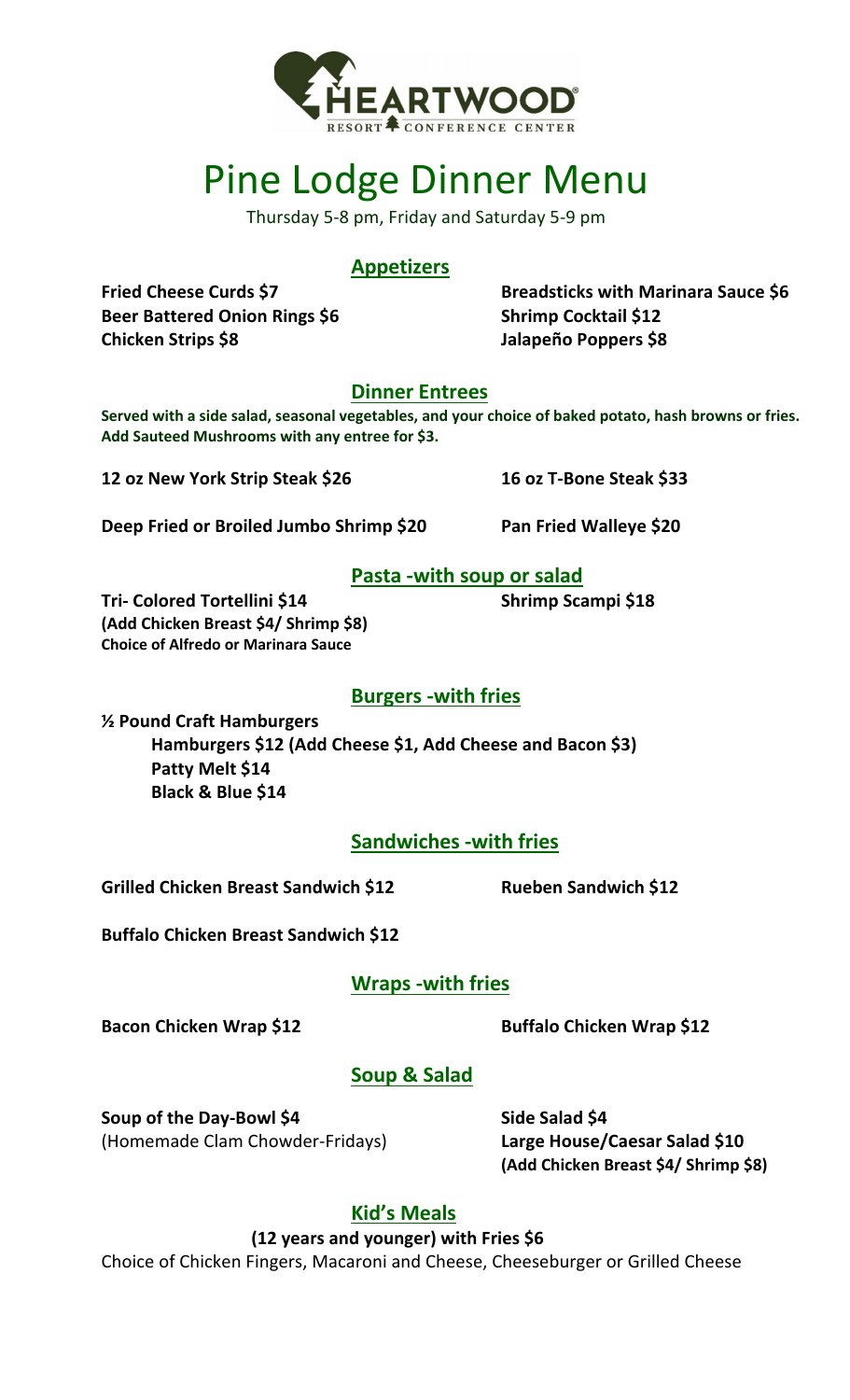

# Pine Lodge Dinner Menu

Thursday 5-8 pm, Friday and Saturday 5-9 pm

## **Appetizers**

**Fried Cheese Curds \$7 Beer Battered Onion Rings \$6 Chicken Strips \$8**

**Breadsticks with Marinara Sauce \$6 Shrimp Cocktail \$12 Jalapeño Poppers \$8**

**Dinner Entrees** 

**Served with a side salad, seasonal vegetables, and your choice of baked potato, hash browns or fries. Add Sauteed Mushrooms with any entree for \$3.** 

**12 oz New York Strip Steak \$26**

**16 oz T-Bone Steak \$33** 

**Deep Fried or Broiled Jumbo Shrimp \$20**

**Pan Fried Walleye \$20** 

## **Pasta -with soup or salad**

**Tri- Colored Tortellini \$14 Shrimp Scampi \$18 (Add Chicken Breast \$4/ Shrimp \$8) Choice of Alfredo or Marinara Sauce**

# **Burgers -with fries**

**½ Pound Craft Hamburgers Hamburgers \$12 (Add Cheese \$1, Add Cheese and Bacon \$3) Patty Melt \$14 Black & Blue \$14**

**Sandwiches -with fries**

**Grilled Chicken Breast Sandwich \$12**

**Rueben Sandwich \$12**

**Buffalo Chicken Breast Sandwich \$12**

## **Wraps -with fries**

**Bacon Chicken Wrap \$12 Buffalo Chicken Wrap \$12**

# **Soup & Salad**

**Soup of the Day-Bowl \$4 Side Salad \$4** (Homemade Clam Chowder-Fridays) **Large House/Caesar Salad \$10**

**(Add Chicken Breast \$4/ Shrimp \$8)**

# **Kid's Meals**

**(12 years and younger) with Fries \$6**

Choice of Chicken Fingers, Macaroni and Cheese, Cheeseburger or Grilled Cheese